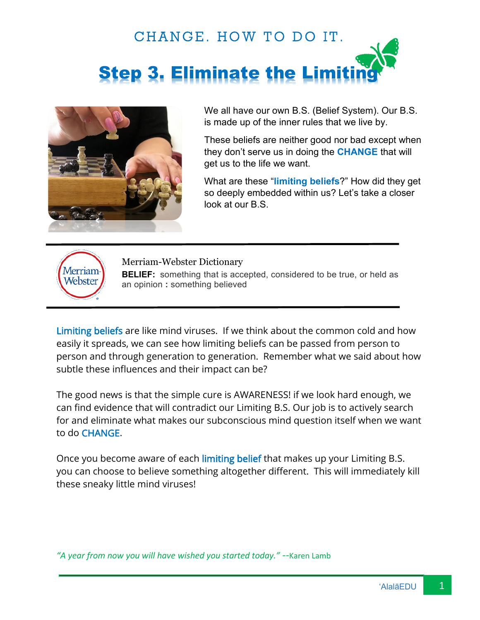



We all have our own B.S. (Belief System). Our B.S. is made up of the inner rules that we live by.

These beliefs are neither good nor bad except when they don't serve us in doing the **CHANGE** that will get us to the life we want.

What are these "**limiting beliefs**?" How did they get so deeply embedded within us? Let's take a closer look at our B.S.



Merriam-Webster Dictionary **BELIEF:** something that is accepted, considered to be true, or held as an opinion **:** something believed

Limiting beliefs are like mind viruses. If we think about the common cold and how easily it spreads, we can see how limiting beliefs can be passed from person to person and through generation to generation. Remember what we said about how subtle these influences and their impact can be?

The good news is that the simple cure is AWARENESS! if we look hard enough, we can find evidence that will contradict our Limiting B.S. Our job is to actively search for and eliminate what makes our subconscious mind question itself when we want to do CHANGE.

Once you become aware of each limiting belief that makes up your Limiting B.S. you can choose to believe something altogether different. This will immediately kill these sneaky little mind viruses!

*"A year from now you will have wished you started today." --*Karen Lamb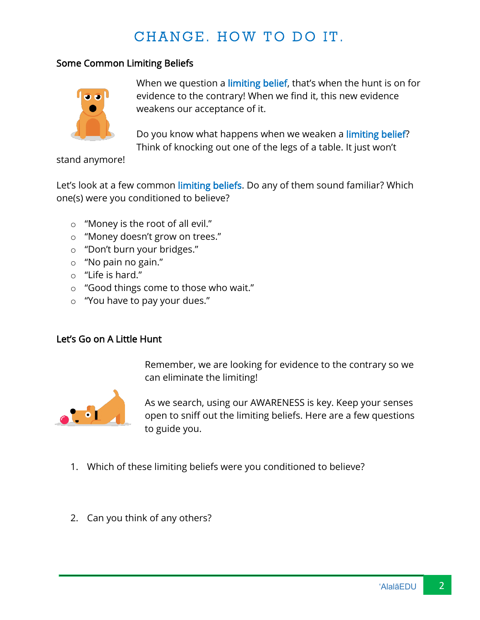## CHANGE. HOW TO DO IT.

## Some Common Limiting Beliefs



When we question a limiting belief, that's when the hunt is on for evidence to the contrary! When we find it, this new evidence weakens our acceptance of it.

Do you know what happens when we weaken a limiting belief? Think of knocking out one of the legs of a table. It just won't

stand anymore!

Let's look at a few common limiting beliefs. Do any of them sound familiar? Which one(s) were you conditioned to believe?

- o "Money is the root of all evil."
- o "Money doesn't grow on trees."
- o "Don't burn your bridges."
- o "No pain no gain."
- o "Life is hard."
- o "Good things come to those who wait."
- o "You have to pay your dues."

## Let's Go on A Little Hunt

Remember, we are looking for evidence to the contrary so we can eliminate the limiting!



As we search, using our AWARENESS is key. Keep your senses open to sniff out the limiting beliefs. Here are a few questions to guide you.

- 1. Which of these limiting beliefs were you conditioned to believe?
- 2. Can you think of any others?